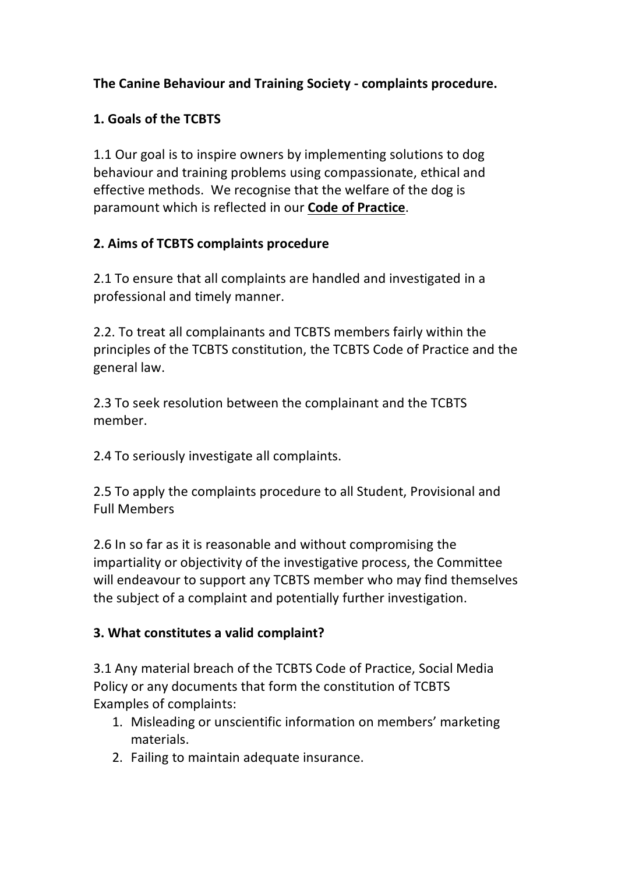## **The Canine Behaviour and Training Society - complaints procedure.**

### **1. Goals of the TCBTS**

1.1 Our goal is to inspire owners by implementing solutions to dog behaviour and training problems using compassionate, ethical and effective methods. We recognise that the welfare of the dog is paramount which is reflected in our **Code of [Practice](https://www.tcbts.co.uk/uploads/tcbts-cop-march-21.pdf)**.

#### **2. Aims of TCBTS complaints procedure**

2.1 To ensure that all complaints are handled and investigated in a professional and timely manner.

2.2. To treat all complainants and TCBTS members fairly within the principles of the TCBTS constitution, the TCBTS Code of Practice and the general law.

2.3 To seek resolution between the complainant and the TCBTS member.

2.4 To seriously investigate all complaints.

2.5 To apply the complaints procedure to all Student, Provisional and Full Members

2.6 In so far as it is reasonable and without compromising the impartiality or objectivity of the investigative process, the Committee will endeavour to support any TCBTS member who may find themselves the subject of a complaint and potentially further investigation.

### **3. What constitutes a valid complaint?**

3.1 Any material breach of the TCBTS Code of Practice, Social Media Policy or any documents that form the constitution of TCBTS Examples of complaints:

- 1. Misleading or unscientific information on members' marketing materials.
- 2. Failing to maintain adequate insurance.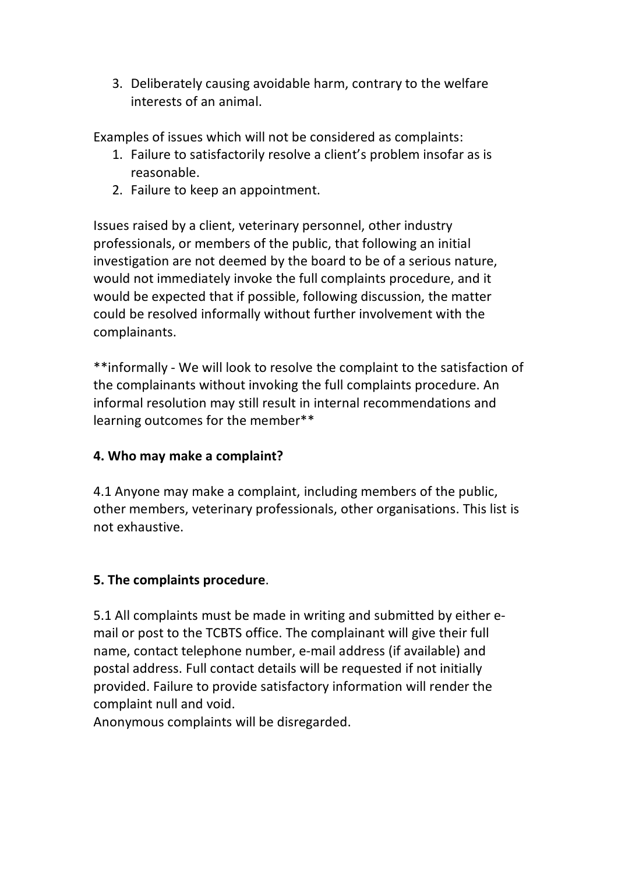3. Deliberately causing avoidable harm, contrary to the welfare interests of an animal.

Examples of issues which will not be considered as complaints:

- 1. Failure to satisfactorily resolve a client's problem insofar as is reasonable.
- 2. Failure to keep an appointment.

Issues raised by a client, veterinary personnel, other industry professionals, or members of the public, that following an initial investigation are not deemed by the board to be of a serious nature, would not immediately invoke the full complaints procedure, and it would be expected that if possible, following discussion, the matter could be resolved informally without further involvement with the complainants.

\*\*informally - We will look to resolve the complaint to the satisfaction of the complainants without invoking the full complaints procedure. An informal resolution may still result in internal recommendations and learning outcomes for the member\*\*

# **4. Who may make a complaint?**

4.1 Anyone may make a complaint, including members of the public, other members, veterinary professionals, other organisations. This list is not exhaustive.

# **5. The complaints procedure**.

5.1 All complaints must be made in writing and submitted by either email or post to the TCBTS office. The complainant will give their full name, contact telephone number, e-mail address (if available) and postal address. Full contact details will be requested if not initially provided. Failure to provide satisfactory information will render the complaint null and void.

Anonymous complaints will be disregarded.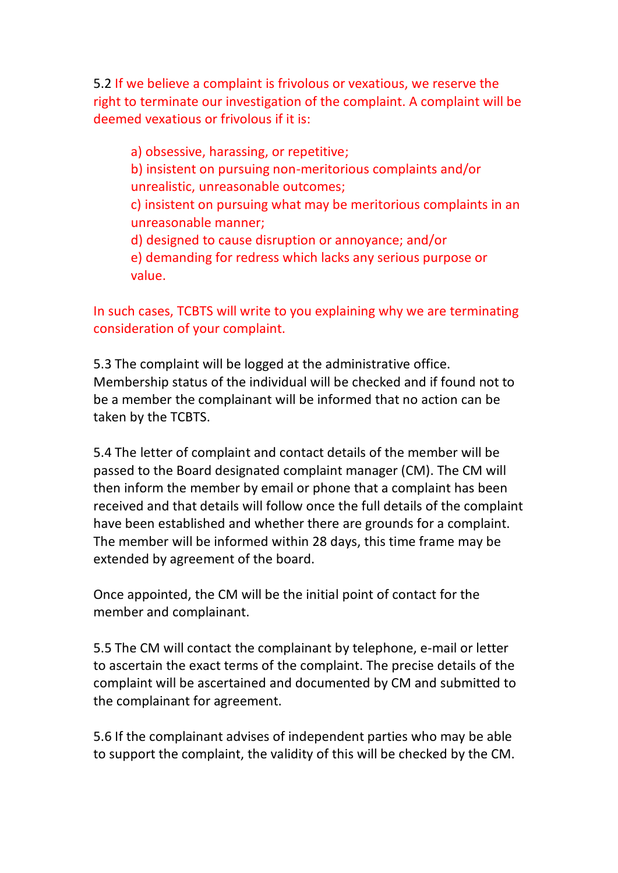5.2 If we believe a complaint is frivolous or vexatious, we reserve the right to terminate our investigation of the complaint. A complaint will be deemed vexatious or frivolous if it is:

a) obsessive, harassing, or repetitive; b) insistent on pursuing non-meritorious complaints and/or unrealistic, unreasonable outcomes; c) insistent on pursuing what may be meritorious complaints in an unreasonable manner; d) designed to cause disruption or annoyance; and/or

e) demanding for redress which lacks any serious purpose or value.

In such cases, TCBTS will write to you explaining why we are terminating consideration of your complaint.

5.3 The complaint will be logged at the administrative office. Membership status of the individual will be checked and if found not to be a member the complainant will be informed that no action can be taken by the TCBTS.

5.4 The letter of complaint and contact details of the member will be passed to the Board designated complaint manager (CM). The CM will then inform the member by email or phone that a complaint has been received and that details will follow once the full details of the complaint have been established and whether there are grounds for a complaint. The member will be informed within 28 days, this time frame may be extended by agreement of the board.

Once appointed, the CM will be the initial point of contact for the member and complainant.

5.5 The CM will contact the complainant by telephone, e-mail or letter to ascertain the exact terms of the complaint. The precise details of the complaint will be ascertained and documented by CM and submitted to the complainant for agreement.

5.6 If the complainant advises of independent parties who may be able to support the complaint, the validity of this will be checked by the CM.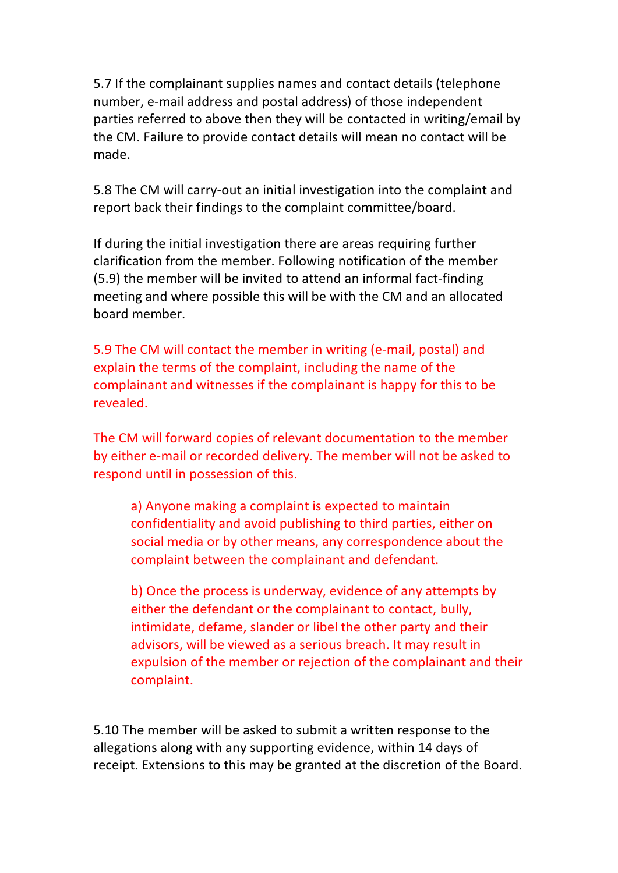5.7 If the complainant supplies names and contact details (telephone number, e-mail address and postal address) of those independent parties referred to above then they will be contacted in writing/email by the CM. Failure to provide contact details will mean no contact will be made.

5.8 The CM will carry-out an initial investigation into the complaint and report back their findings to the complaint committee/board.

If during the initial investigation there are areas requiring further clarification from the member. Following notification of the member (5.9) the member will be invited to attend an informal fact-finding meeting and where possible this will be with the CM and an allocated board member.

5.9 The CM will contact the member in writing (e-mail, postal) and explain the terms of the complaint, including the name of the complainant and witnesses if the complainant is happy for this to be revealed.

The CM will forward copies of relevant documentation to the member by either e-mail or recorded delivery. The member will not be asked to respond until in possession of this.

a) Anyone making a complaint is expected to maintain confidentiality and avoid publishing to third parties, either on social media or by other means, any correspondence about the complaint between the complainant and defendant.

b) Once the process is underway, evidence of any attempts by either the defendant or the complainant to contact, bully, intimidate, defame, slander or libel the other party and their advisors, will be viewed as a serious breach. It may result in expulsion of the member or rejection of the complainant and their complaint.

5.10 The member will be asked to submit a written response to the allegations along with any supporting evidence, within 14 days of receipt. Extensions to this may be granted at the discretion of the Board.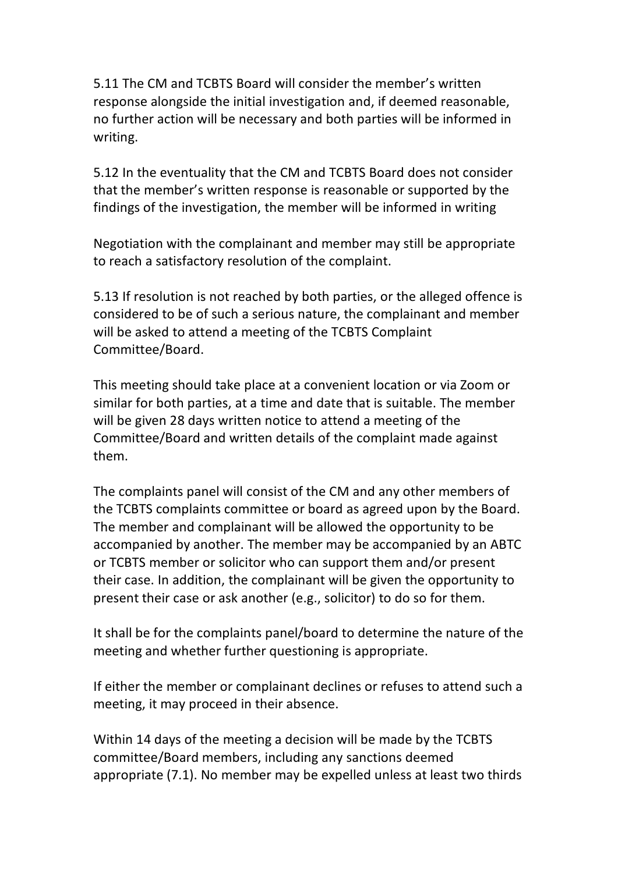5.11 The CM and TCBTS Board will consider the member's written response alongside the initial investigation and, if deemed reasonable, no further action will be necessary and both parties will be informed in writing.

5.12 In the eventuality that the CM and TCBTS Board does not consider that the member's written response is reasonable or supported by the findings of the investigation, the member will be informed in writing

Negotiation with the complainant and member may still be appropriate to reach a satisfactory resolution of the complaint.

5.13 If resolution is not reached by both parties, or the alleged offence is considered to be of such a serious nature, the complainant and member will be asked to attend a meeting of the TCBTS Complaint Committee/Board.

This meeting should take place at a convenient location or via Zoom or similar for both parties, at a time and date that is suitable. The member will be given 28 days written notice to attend a meeting of the Committee/Board and written details of the complaint made against them.

The complaints panel will consist of the CM and any other members of the TCBTS complaints committee or board as agreed upon by the Board. The member and complainant will be allowed the opportunity to be accompanied by another. The member may be accompanied by an ABTC or TCBTS member or solicitor who can support them and/or present their case. In addition, the complainant will be given the opportunity to present their case or ask another (e.g., solicitor) to do so for them.

It shall be for the complaints panel/board to determine the nature of the meeting and whether further questioning is appropriate.

If either the member or complainant declines or refuses to attend such a meeting, it may proceed in their absence.

Within 14 days of the meeting a decision will be made by the TCBTS committee/Board members, including any sanctions deemed appropriate (7.1). No member may be expelled unless at least two thirds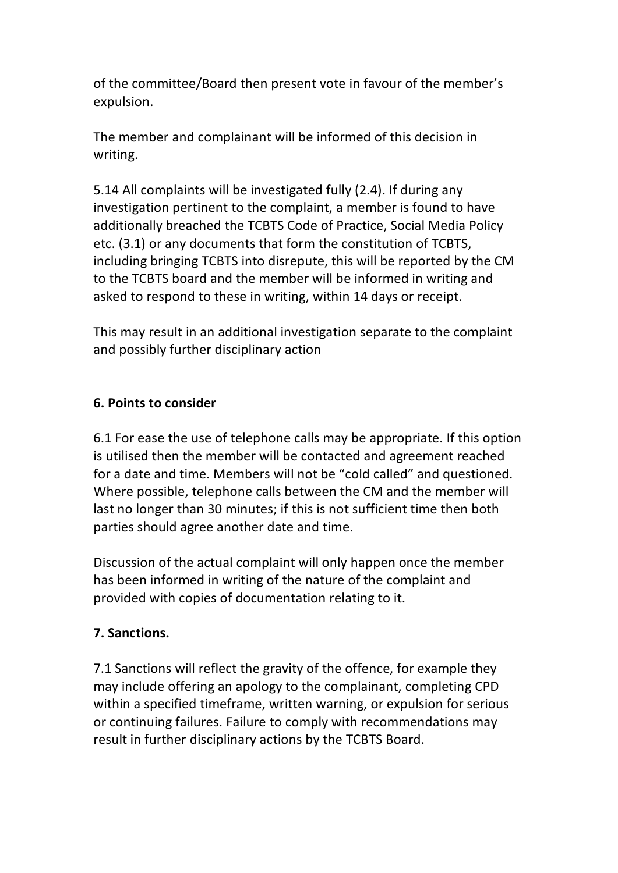of the committee/Board then present vote in favour of the member's expulsion.

The member and complainant will be informed of this decision in writing.

5.14 All complaints will be investigated fully (2.4). If during any investigation pertinent to the complaint, a member is found to have additionally breached the TCBTS Code of Practice, Social Media Policy etc. (3.1) or any documents that form the constitution of TCBTS, including bringing TCBTS into disrepute, this will be reported by the CM to the TCBTS board and the member will be informed in writing and asked to respond to these in writing, within 14 days or receipt.

This may result in an additional investigation separate to the complaint and possibly further disciplinary action

### **6. Points to consider**

6.1 For ease the use of telephone calls may be appropriate. If this option is utilised then the member will be contacted and agreement reached for a date and time. Members will not be "cold called" and questioned. Where possible, telephone calls between the CM and the member will last no longer than 30 minutes; if this is not sufficient time then both parties should agree another date and time.

Discussion of the actual complaint will only happen once the member has been informed in writing of the nature of the complaint and provided with copies of documentation relating to it.

### **7. Sanctions.**

7.1 Sanctions will reflect the gravity of the offence, for example they may include offering an apology to the complainant, completing CPD within a specified timeframe, written warning, or expulsion for serious or continuing failures. Failure to comply with recommendations may result in further disciplinary actions by the TCBTS Board.